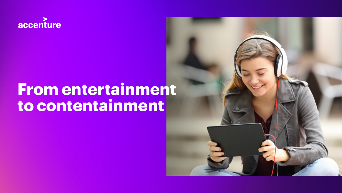

# **From entertainment to contentainment**

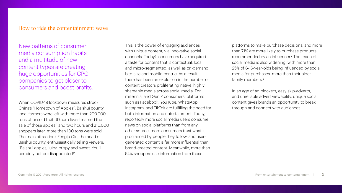#### How to ride the contentainment wave

New patterns of consumer media consumption habits and a multitude of new content types are creating huge opportunities for CPG companies to get closer to consumers and boost profits.

When COVID-19 lockdown measures struck China's "Hometown of Apples", Baishui county, local farmers were left with more than 200,000 tons of unsold fruit. JD.com live-streamed the sale of those apples,<sup>1</sup> and two hours and 210,000 shoppers later, more than 100 tons were sold. The main attraction? Fengju Qin, the head of Baishui county, enthusiastically telling viewers: "Baishui apples, juicy, crispy and sweet. You'll certainly not be disappointed!"

This is the power of engaging audiences with unique content, via innovative social channels. Today's consumers have acquired a taste for content that is contextual, local, and micro-segmented, as well as on-demand, bite-size and mobile-centric. As a result, there has been an explosion in the number of content creators proliferating native, highly shareable media across social media. For millennial and Gen Z consumers, platforms such as Facebook, YouTube, WhatsApp, Instagram, and TikTok are fulfilling the need for both information and entertainment. Today, reportedly more social media users consume news on social platforms than from any other source, more consumers trust what is proclaimed by people they follow, and usergenerated content is far more influential than brand-created content. Meanwhile, more than 54% shoppers use information from those

platforms to make purchase decisions, and more than 71% are more likely to purchase products recommended by an influencer.<sup>2</sup> The reach of social media is also widening, with more than 25% of 6-16-year-olds being influenced by social media for purchases–more than their older family members.<sup>3</sup>

In an age of ad blockers, easy skip-adverts, and unreliable advert viewability, unique social content gives brands an opportunity to break through and connect with audiences.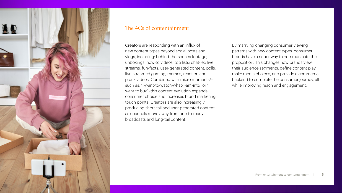

## The 4Cs of contentainment

Creators are responding with an influx of new content types beyond social posts and vlogs, including: behind-the-scenes footage; unboxings; how-to videos; top lists; chat-led live streams; fun-facts; user-generated content; polls; live-streamed gaming; memes; reaction and prank videos. Combined with micro moments4– such as, "I-want-to-watch-what-I-am-into" or "I want to buy"–this content evolution expands consumer choice and increases brand marketing touch points. Creators are also increasingly producing short-tail and user-generated content, as channels move away from one-to-many broadcasts and long-tail content.

By marrying changing consumer viewing patterns with new content types, consumer brands have a richer way to communicate their proposition. This changes how brands view their audience segments, define content play, make media choices, and provide a commerce backend to complete the consumer journey, all while improving reach and engagement.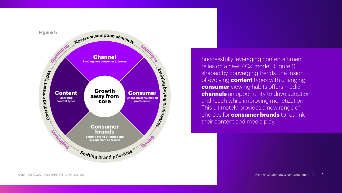

Successfully leveraging contentainment relies on a new "4Cs' model" (figure 1) shaped by converging trends: the fusion of evolving **content** types with changing **consumer** viewing habits offers media **channels** an opportunity to drive adoption and reach while improving monetization. This ultimately provides a new range of choices for **consumer brands** to rethink their content and media play.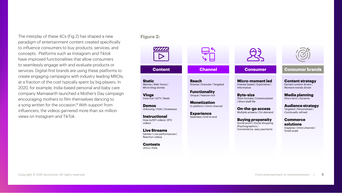The interplay of these 4Cs (Fig 2) has shaped a new paradigm of entertainment content created specifically to influence consumers to buy products, services, and concepts. Platforms such as Instagram and Tiktok have improved functionalities that allow consumers to seamlessly engage with and evaluate products or services. Digital-first brands are using these platforms to create engaging campaigns with industry leading MROIs, at a fraction of the cost typically spent by big players. In 2020, for example, India-based personal and baby care company Mamaearth launched a Mother's Day campaign encouraging mothers to film themselves dancing to a song written for the occasion.<sup>5</sup> With support from influencers, the videos garnered more than six million views on Instagram and TikTok.

#### **Figure 2:**



**Contests** UGCs | Polls

Copyright © 2021 Accenture. All rights reserved. From entertainment to contentainment | **5**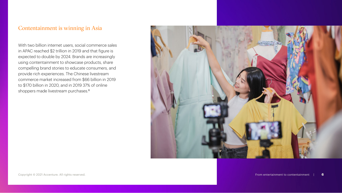## Contentainment is winning in Asia

With two billion internet users, social commerce sales in APAC reached \$2 trillion in 2019 and that figure is expected to double by 2024. Brands are increasingly using contentainment to showcase products, share compelling brand stories to educate consumers, and provide rich experiences. The Chinese livestream commerce market increased from \$66 billion in 2019 to \$170 billion in 2020, and in 2019 37% of online shoppers made livestream purchases.<sup>6</sup>

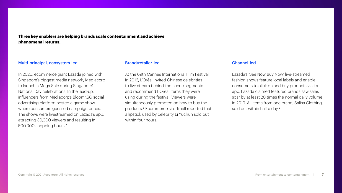**Three key enablers are helping brands scale contentainment and achieve phenomenal returns:**

#### Multi-principal, ecosystem-led

In 2020, ecommerce giant Lazada joined with Singapore's biggest media network, Mediacorp to launch a Mega Sale during Singapore's National Day celebrations. In the lead-up, influencers from Mediacorp's Bloomr.SG social advertising platform hosted a game show where consumers guessed campaign prices. The shows were livestreamed on Lazada's app, attracting 30,000 viewers and resulting in 500,000 shopping hours.<sup>7</sup>

#### Brand/retailer-led

At the 69th Cannes International Film Festival in 2016, L'Oréal invited Chinese celebrities to live stream behind-the-scene segments and recommend L'Oréal items they were using during the festival. Viewers were simultaneously prompted on how to buy the products.8 Ecommerce site Tmall reported that a lipstick used by celebrity Li Yuchun sold out within four hours.

#### Channel-led

Lazada's 'See Now Buy Now' live-streamed fashion shows feature local labels and enable consumers to click on and buy products via its app. Lazada claimed featured brands saw sales soar by at least 20 times the normal daily volume in 2019. All items from one brand, Salisa Clothing, sold out within half a day.<sup>9</sup>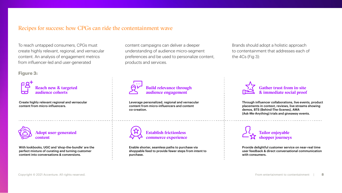#### Recipes for success: how CPGs can ride the contentainment wave

To reach untapped consumers, CPGs must create highly relevant, regional, and vernacular content. An analysis of engagement metrics from influencer-led and user-generated

**Figure 3:**



Create highly relevant regional and vernacular content from micro-influencers.



With lookbooks, UGC and 'shop-the-bundle' are the perfect mixture of curating and turning customer content into conversations & conversions.

content campaigns can deliver a deeper understanding of audience micro-segment preferences and be used to personalize content, products and services.

# Build relevance through audience engagement

Leverage personalized, regional and vernacular content from micro-influencers and content co-creation.

> Establish frictionless commerce experience

Enable shorter, seamless paths to purchase via shoppable feed to provide fewer steps from intent to purchase.

Brands should adopt a holistic approach to contentainment that addresses each of the 4Cs (Fig 3):



Through influencer collaborations, live events, product placements in context, reviews, live streams showing demos, BTS (Behind-The-Scenes), AMA (Ask-Me-Anything) trials and giveaway events.



Provide delightful customer service on near-real time user feedback & direct conversational communication with consumers.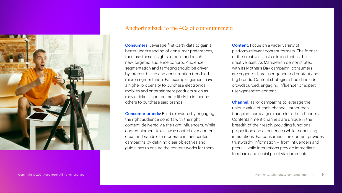

#### Anchoring back to the 4Cs of contentainment

Consumers: Leverage first-party data to gain a better understanding of consumer preferences, then use these insights to build and reach new, targeted audience cohorts. Audience segmentation and targeting should be driven by interest-based and consumption trend-led micro-segmentation. For example, gamers have a higher propensity to purchase electronics, mobiles and entertainment products such as movie tickets, and are more likely to influence others to purchase said brands.

**Consumer brands:** Build relevance by engaging the right audience cohorts with the right content, delivered via the right influencers. While contentainment takes away control over content creation, brands can moderate influencer-led campaigns by defining clear objectives and guidelines to ensure the content works for them.

**Content:** Focus on a wider variety of platform-relevant content formats. The format of the creative is just as important as the creative itself. As Mamaearth demonstrated with its Mother's Day campaign, consumers are eager to share user-generated content and tag brands. Content strategies should include crowdsourced, engaging influencer or expert user-generated content.

Channel: Tailor campaigns to leverage the unique value of each channel, rather than transplant campaigns made for other channels. Contentainment channels are unique in the breadth of their reach, providing functional proposition and experiences while monetizing interactions. For consumers, the content provides trustworthy information – from influencers and peers – while interactions provide immediate feedback and social proof via comments.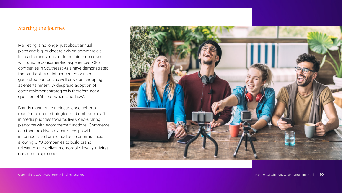## Starting the journey

Marketing is no longer just about annual plans and big-budget television commercials. Instead, brands must differentiate themselves with unique consumer-led experiences. CPG companies in Southeast Asia have demonstrated the profitability of influencer-led or usergenerated content, as well as video-shopping as entertainment. Widespread adoption of contentainment strategies is therefore not a question of 'if', but 'when' and 'how'.

Brands must refine their audience cohorts, redefine content strategies, and embrace a shift in media priorities towards live video-sharing platforms with ecommerce functions. Commerce can then be driven by partnerships with influencers and brand audience communities, allowing CPG companies to build brand relevance and deliver memorable, loyalty-driving consumer experiences.